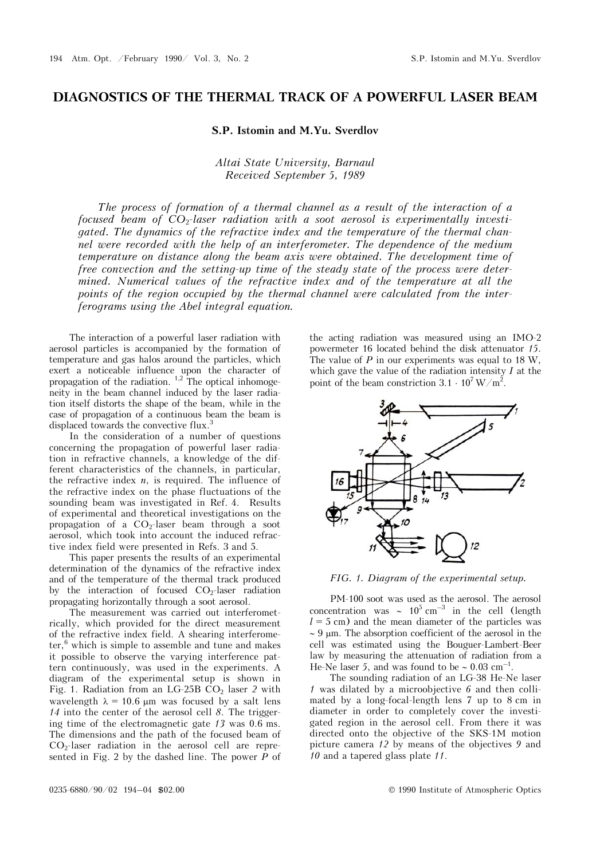## **DIAGNOSTICS OF THE THERMAL TRACK OF A POWERFUL LASER BEAM**

## **S.P. Istomin and M.Yu. Sverdlov**

## *Altai State University, Barnaul Received September 5, 1989*

*The process of formation of a thermal channel as a result of the interaction of a focused beam of CO*2*-laser radiation with a soot aerosol is experimentally investigated. The dynamics of the refractive index and the temperature of the thermal channel were recorded with the help of an interferometer. The dependence of the medium temperature on distance along the beam axis were obtained. The development time of free convection and the setting-up time of the steady state of the process were determined. Numerical values of the refractive index and of the temperature at all the points of the region occupied by the thermal channel were calculated from the interferograms using the Abel integral equation.* 

The interaction of a powerful laser radiation with aerosol particles is accompanied by the formation of temperature and gas halos around the particles, which exert a noticeable influence upon the character of propagation of the radiation. <sup>1,2</sup> The optical inhomogeneity in the beam channel induced by the laser radiation itself distorts the shape of the beam, while in the case of propagation of a continuous beam the beam is displaced towards the convective flux.<sup>3</sup>

In the consideration of a number of questions concerning the propagation of powerful laser radiation in refractive channels, a knowledge of the different characteristics of the channels, in particular, the refractive index *n*, is required. The influence of the refractive index on the phase fluctuations of the sounding beam was investigated in Ref. 4. Results of experimental and theoretical investigations on the propagation of a  $CO<sub>2</sub>$ -laser beam through a soot aerosol, which took into account the induced refractive index field were presented in Refs. 3 and 5.

This paper presents the results of an experimental determination of the dynamics of the refractive index and of the temperature of the thermal track produced by the interaction of focused  $CO<sub>2</sub>$ -laser radiation propagating horizontally through a soot aerosol.

The measurement was carried out interferometrically, which provided for the direct measurement of the refractive index field. A shearing interferometer,<sup>6</sup> which is simple to assemble and tune and makes it possible to observe the varying interference pattern continuously, was used in the experiments. A diagram of the experimental setup is shown in Fig. 1. Radiation from an LG-25B CO<sub>2</sub> laser 2 with wavelength  $\lambda = 10.6$  µm was focused by a salt lens *14* into the center of the aerosol cell *8*. The triggering time of the electromagnetic gate *13* was 0.6 ms. The dimensions and the path of the focused beam of  $CO<sub>2</sub>$ -laser radiation in the aerosol cell are represented in Fig. 2 by the dashed line. The power *P* of

the acting radiation was measured using an IMO-2 powermeter 16 located behind the disk attenuator *15*. The value of *P* in our experiments was equal to 18 W, which gave the value of the radiation intensity *I* at the point of the beam constriction  $3.1 \cdot 10^7 \,\mathrm{W/m^2}$ .



*FIG. 1. Diagram of the experimental setup.*

PM-100 soot was used as the aerosol. The aerosol concentration was  $\sim 10^5 \text{ cm}^{-3}$  in the cell (length  $l = 5$  cm) and the mean diameter of the particles was  $\sim$  9 um. The absorption coefficient of the aerosol in the cell was estimated using the Bouguer-Lambert-Beer law by measuring the attenuation of radiation from a He-Ne laser 5, and was found to be  $\sim 0.03$  cm<sup>-1</sup>.

The sounding radiation of an LG-38 He-Ne laser *1* was dilated by a microobjective *6* and then collimated by a long-focal-length lens 7 up to 8 cm in diameter in order to completely cover the investigated region in the aerosol cell. From there it was directed onto the objective of the SKS-1M motion picture camera *12* by means of the objectives *9* and *10* and a tapered glass plate *11*.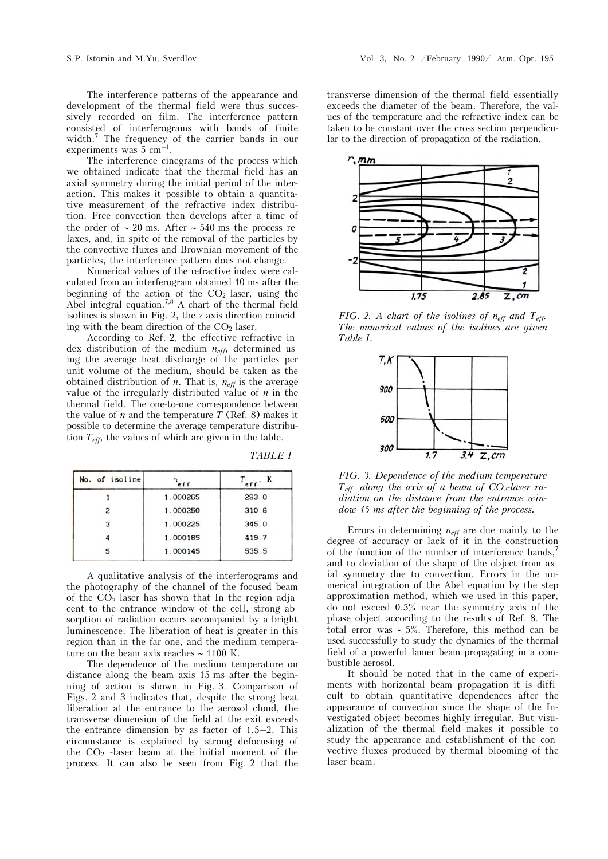The interference patterns of the appearance and development of the thermal field were thus successively recorded on film. The interference pattern consisted of interferograms with bands of finite width.7 The frequency of the carrier bands in our experiments was  $5 \text{ cm}^{-1}$ .

The interference cinegrams of the process which we obtained indicate that the thermal field has an axial symmetry during the initial period of the interaction. This makes it possible to obtain a quantitative measurement of the refractive index distribution. Free convection then develops after a time of the order of  $\sim 20$  ms. After  $\sim 540$  ms the process relaxes, and, in spite of the removal of the particles by the convective fluxes and Brownian movement of the particles, the interference pattern does not change.

Numerical values of the refractive index were calculated from an interferogram obtained 10 ms after the beginning of the action of the  $CO<sub>2</sub>$  laser, using the Abel integral equation.<sup>7,8</sup> A chart of the thermal field isolines is shown in Fig. 2, the *z* axis direction coinciding with the beam direction of the  $CO<sub>2</sub>$  laser.

According to Ref. 2, the effective refractive index distribution of the medium *neff*, determined using the average heat discharge of the particles per unit volume of the medium, should be taken as the obtained distribution of *n*. That is,  $n_{\text{eff}}$  is the average value of the irregularly distributed value of *n* in the thermal field. The one-to-one correspondence between the value of *n* and the temperature *T* (Ref. 8) makes it possible to determine the average temperature distribution *Teff*, the values of which are given in the table.

*TABLE I* 

| No. of isoline | erf      | er'   |
|----------------|----------|-------|
|                | 1.000265 | 293.0 |
|                | 1.000250 | 310.6 |
| 3              | 1.000225 | 345.0 |
|                | 1.000185 | 419.7 |
| 5              | 1.000145 | 535.5 |

A qualitative analysis of the interferograms and the photography of the channel of the focused beam of the  $CO<sub>2</sub>$  laser has shown that In the region adjacent to the entrance window of the cell, strong absorption of radiation occurs accompanied by a bright luminescence. The liberation of heat is greater in this region than in the far one, and the medium temperature on the beam axis reaches  $\sim 1100$  K.

The dependence of the medium temperature on distance along the beam axis 15 ms after the beginning of action is shown in Fig. 3. Comparison of Figs. 2 and 3 indicates that, despite the strong heat liberation at the entrance to the aerosol cloud, the transverse dimension of the field at the exit exceeds the entrance dimension by as factor of 1.5–2. This circumstance is explained by strong defocusing of the  $CO<sub>2</sub>$  -laser beam at the initial moment of the process. It can also be seen from Fig. 2 that the transverse dimension of the thermal field essentially exceeds the diameter of the beam. Therefore, the values of the temperature and the refractive index can be taken to be constant over the cross section perpendicular to the direction of propagation of the radiation.



*FIG. 2. A chart of the isolines of neff and Teff. The numerical values of the isolines are given Table I.* 



*FIG. 3. Dependence of the medium temperature*   $T_{\text{eff}}$  along the axis of a beam of  $CO_2$ -laser ra*diation on the distance from the entrance window 15 ms after the beginning of the process.* 

Errors in determining  $n_{\text{eff}}$  are due mainly to the degree of accuracy or lack of it in the construction of the function of the number of interference bands,<sup>7</sup> and to deviation of the shape of the object from axial symmetry due to convection. Errors in the numerical integration of the Abel equation by the step approximation method, which we used in this paper, do not exceed 0.5% near the symmetry axis of the phase object according to the results of Ref. 8. The total error was  $\sim$  5%. Therefore, this method can be used successfully to study the dynamics of the thermal field of a powerful lamer beam propagating in a combustible aerosol.

It should be noted that in the came of experiments with horizontal beam propagation it is difficult to obtain quantitative dependences after the appearance of convection since the shape of the Investigated object becomes highly irregular. But visualization of the thermal field makes it possible to study the appearance and establishment of the convective fluxes produced by thermal blooming of the laser beam.